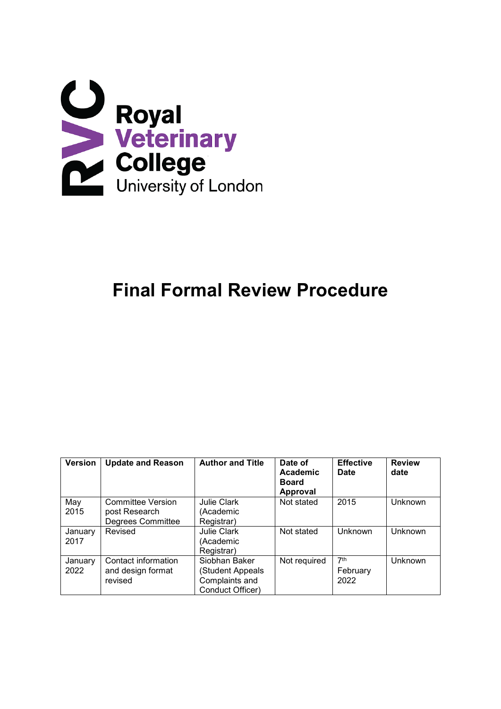

# **Final Formal Review Procedure**

| <b>Version</b> | <b>Update and Reason</b> | <b>Author and Title</b> | Date of<br>Academic<br><b>Board</b><br><b>Approval</b> | <b>Effective</b><br><b>Date</b> | <b>Review</b><br>date |
|----------------|--------------------------|-------------------------|--------------------------------------------------------|---------------------------------|-----------------------|
| May            | <b>Committee Version</b> | <b>Julie Clark</b>      | Not stated                                             | 2015                            | Unknown               |
| 2015           | post Research            | (Academic               |                                                        |                                 |                       |
|                | Degrees Committee        | Registrar)              |                                                        |                                 |                       |
| January        | Revised                  | <b>Julie Clark</b>      | Not stated                                             | Unknown                         | Unknown               |
| 2017           |                          | (Academic               |                                                        |                                 |                       |
|                |                          | Registrar)              |                                                        |                                 |                       |
| January        | Contact information      | Siobhan Baker           | Not required                                           | 7th                             | Unknown               |
| 2022           | and design format        | (Student Appeals        |                                                        | February                        |                       |
|                | revised                  | Complaints and          |                                                        | 2022                            |                       |
|                |                          | Conduct Officer)        |                                                        |                                 |                       |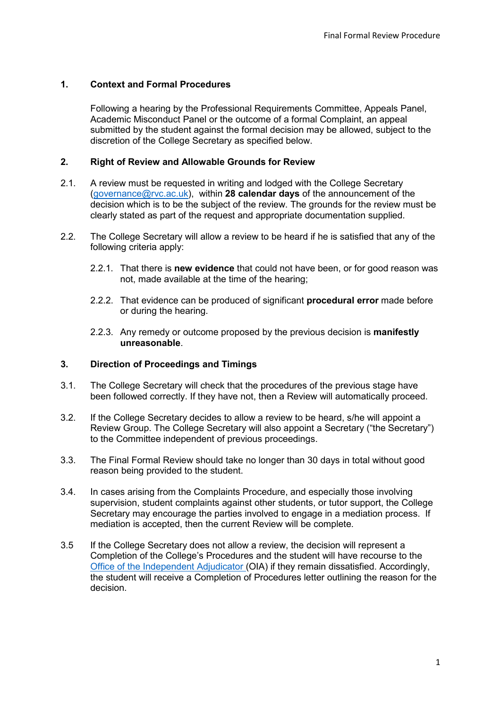## **1. Context and Formal Procedures**

<span id="page-1-0"></span>Following a hearing by the Professional Requirements Committee, Appeals Panel, Academic Misconduct Panel or the outcome of a formal Complaint, an appeal submitted by the student against the formal decision may be allowed, subject to the discretion of the College Secretary as specified below.

#### **2. Right of Review and Allowable Grounds for Review**

- 2.1. A review must be requested in writing and lodged with the College Secretary [\(governance@rvc.ac.uk\)](mailto:governance@rvc.ac.uk), within **[28 calendar](#page-1-0) days** of the announcement of the decision which is to be the subject of the review. The grounds for the review must be clearly stated as part of the request and appropriate documentation supplied.
- <span id="page-1-2"></span><span id="page-1-1"></span>2.2. The College Secretary will allow a review to be heard if he is satisfied that any of the following criteria apply:
	- 2.2.1. That there is **new evidence** that could not have been, or for good reason was not, made available at the time of the hearing;
	- 2.2.2. That evidence can be produced of significant **[procedural](#page-1-1) [error](#page-1-2)** made before or during the hearing.
	- 2.2.3. Any remedy or outcome proposed by the previous decision is **manifestly unreasonable**.

## **3. Direction of Proceedings and Timings**

- 3.1. The College Secretary will check that the procedures of the previous stage have been followed correctly. If they have not, then a Review will automatically proceed.
- <span id="page-1-3"></span>3.2. If the College Secretary decides to allow a review to be heard, s/he will appoint a Review Group. The College Secretary will also appoint a Secretary ("the Secretary") to the Committee [independent of previous proceedings.](#page-1-3)
- 3.3. The Final Formal Review should take no longer than 30 days in total without good reason being provided to the student.
- 3.4. In cases arising from the Complaints Procedure, and especially those involving supervision, student complaints against other students, or tutor support, the College Secretary may encourage the parties involved to engage in a mediation process. If mediation is accepted, then the current Review will be complete.
- 3.5 If the College Secretary does not allow a review, the decision will represent a Completion of the College's Procedures and the student will have recourse to the [Office of the Independent Adjudicator \(](https://www.oiahe.org.uk/students/can-you-complain-to-us/)OIA) if they remain dissatisfied. Accordingly, the student will receive a Completion of Procedures letter outlining the reason for the decision.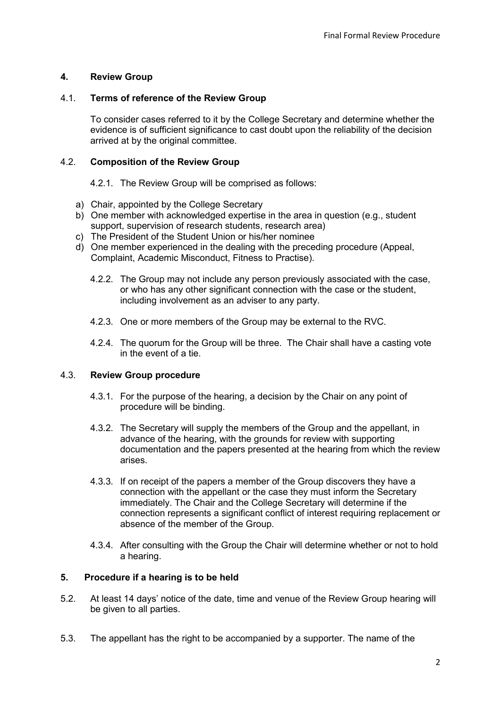# **4. Review Group**

## 4.1. **Terms of reference of the Review Group**

To consider cases referred to it by the College Secretary and determine whether the evidence is of sufficient significance to cast doubt upon the reliability of the decision arrived at by the original committee.

#### 4.2. **Composition of the Review Group**

4.2.1. The Review Group will be comprised as follows:

- a) Chair, appointed by the College Secretary
- b) One member with acknowledged expertise in the area in question (e.g., student support, supervision of research students, research area)
- c) The President of the Student Union or his/her nominee
- d) One member experienced in the dealing with the preceding procedure (Appeal, Complaint, Academic Misconduct, Fitness to Practise).
	- 4.2.2. The Group may not include any person previously associated with the case, or who has any other significant connection with the case or the student, including involvement as an adviser to any party.
	- 4.2.3. One or more members of the Group may be external to the RVC.
	- 4.2.4. The quorum for the Group will be three. The Chair shall have a casting vote in the event of a tie.

## 4.3. **Review Group procedure**

- 4.3.1. For the purpose of the hearing, a decision by the Chair on any point of procedure will be binding.
- 4.3.2. The Secretary will supply the members of the Group and the appellant, in advance of the hearing, with the grounds for review with supporting documentation and the papers presented at the hearing from which the review arises.
- 4.3.3. If on receipt of the papers a member of the Group discovers they have a connection with the appellant or the case they must inform the Secretary immediately. The Chair and the College Secretary will determine if the connection represents a significant conflict of interest requiring replacement or absence of the member of the Group.
- <span id="page-2-0"></span>4.3.4. After consulting with the Group the Chair will determine whether or not to hold a hearing.

## **5. Procedure if a hearing is to be held**

- 5.2. At least 14 days' notice of the date, time and venue of the Review Group hearing will be given to all parties.
- 5.3. The appellant has the right to be accompanied by a [supporter.](#page-2-0) The name of the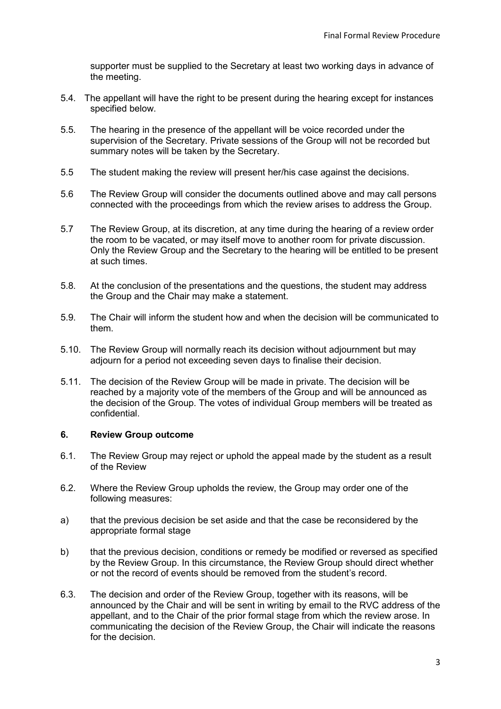<span id="page-3-0"></span>supporter must be supplied to the Secretary at least two working days in advance of the meeting.

- 5.4. The appellant will have the [right to be present](#page-3-0) during the hearing except for instances specified below.
- 5.5. The hearing in the presence of the appellant will be voice recorded under the supervision of the Secretary. Private sessions of the Group will not be recorded but summary notes will be taken by the Secretary.
- 5.5 The student making the review will present her/his case against the decisions.
- 5.6 The Review Group will consider the documents outlined above and may call persons connected with the proceedings from which the review arises to address the Group.
- <span id="page-3-1"></span>5.7 The Review Group, at its discretion, at any time during the hearing of a review order the room to be vacated, or may itself move to another room for [private discussion.](#page-3-1) Only the Review Group and the Secretary to the hearing will be entitled to be present at such times.
- 5.8. At the conclusion of the presentations and the questions, the student may address the Group and the Chair may make a statement.
- <span id="page-3-2"></span>5.9. The Chair will inform the student how and when the [decision will be communicated](#page-3-2) to them.
- 5.10. The Review Group will normally reach its decision without adjournment but may adjourn for a period not exceeding seven days to finalise their decision.
- 5.11. The decision of the Review Group will be made in private. The decision will be reached by a majority vote of the members of the Group and will be announced as the decision of the Group. The votes of individual Group members will be treated as confidential.

#### **6. Review Group outcome**

- 6.1. The Review Group may reject or uphold the appeal made by the student as a result of the Review
- 6.2. Where the Review Group upholds the review, the Group may order one of the following measures:
- a) that the previous decision be set aside and that the case be reconsidered by the appropriate formal stage
- b) that the previous decision, conditions or remedy be modified or reversed as specified by the Review Group. In this circumstance, the Review Group should direct whether or not the record of events should be removed from the student's record.
- 6.3. The decision and order of the Review Group, together with its reasons, will be announced by the Chair and will be sent in writing by email to the RVC address of the appellant, and to the Chair of the prior formal stage from which the review arose. In communicating the decision of the Review Group, the Chair will indicate the reasons for the decision